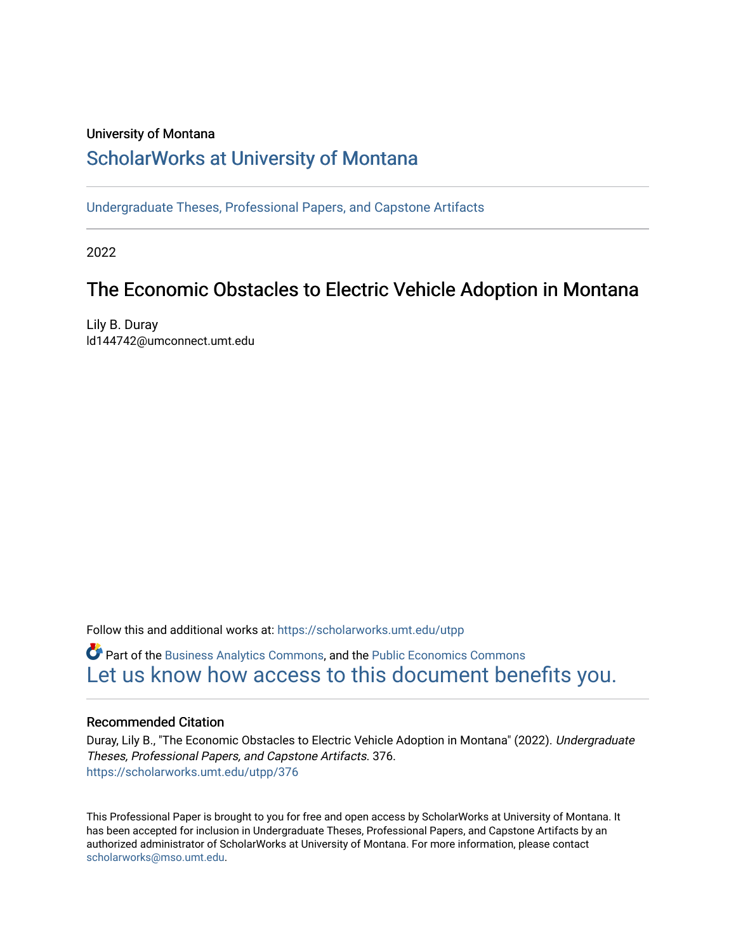#### University of Montana

# [ScholarWorks at University of Montana](https://scholarworks.umt.edu/)

[Undergraduate Theses, Professional Papers, and Capstone Artifacts](https://scholarworks.umt.edu/utpp)

2022

# The Economic Obstacles to Electric Vehicle Adoption in Montana

Lily B. Duray ld144742@umconnect.umt.edu

Follow this and additional works at: [https://scholarworks.umt.edu/utpp](https://scholarworks.umt.edu/utpp?utm_source=scholarworks.umt.edu%2Futpp%2F376&utm_medium=PDF&utm_campaign=PDFCoverPages)

Part of the [Business Analytics Commons](http://network.bepress.com/hgg/discipline/1398?utm_source=scholarworks.umt.edu%2Futpp%2F376&utm_medium=PDF&utm_campaign=PDFCoverPages), and the [Public Economics Commons](http://network.bepress.com/hgg/discipline/351?utm_source=scholarworks.umt.edu%2Futpp%2F376&utm_medium=PDF&utm_campaign=PDFCoverPages) [Let us know how access to this document benefits you.](https://goo.gl/forms/s2rGfXOLzz71qgsB2) 

#### Recommended Citation

Duray, Lily B., "The Economic Obstacles to Electric Vehicle Adoption in Montana" (2022). Undergraduate Theses, Professional Papers, and Capstone Artifacts. 376. [https://scholarworks.umt.edu/utpp/376](https://scholarworks.umt.edu/utpp/376?utm_source=scholarworks.umt.edu%2Futpp%2F376&utm_medium=PDF&utm_campaign=PDFCoverPages)

This Professional Paper is brought to you for free and open access by ScholarWorks at University of Montana. It has been accepted for inclusion in Undergraduate Theses, Professional Papers, and Capstone Artifacts by an authorized administrator of ScholarWorks at University of Montana. For more information, please contact [scholarworks@mso.umt.edu.](mailto:scholarworks@mso.umt.edu)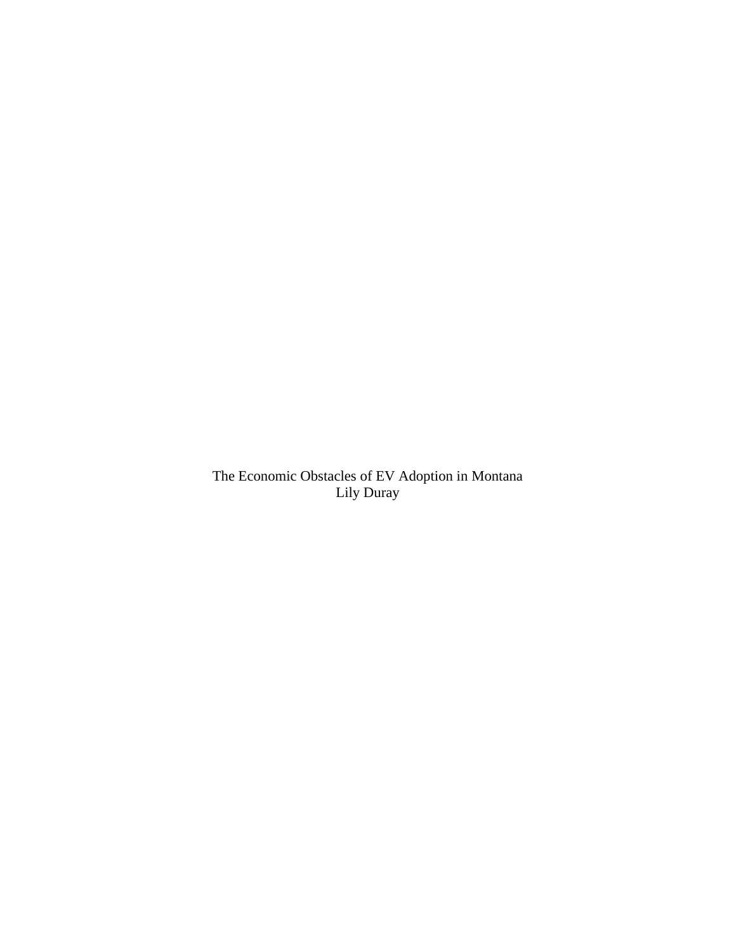The Economic Obstacles of EV Adoption in Montana Lily Duray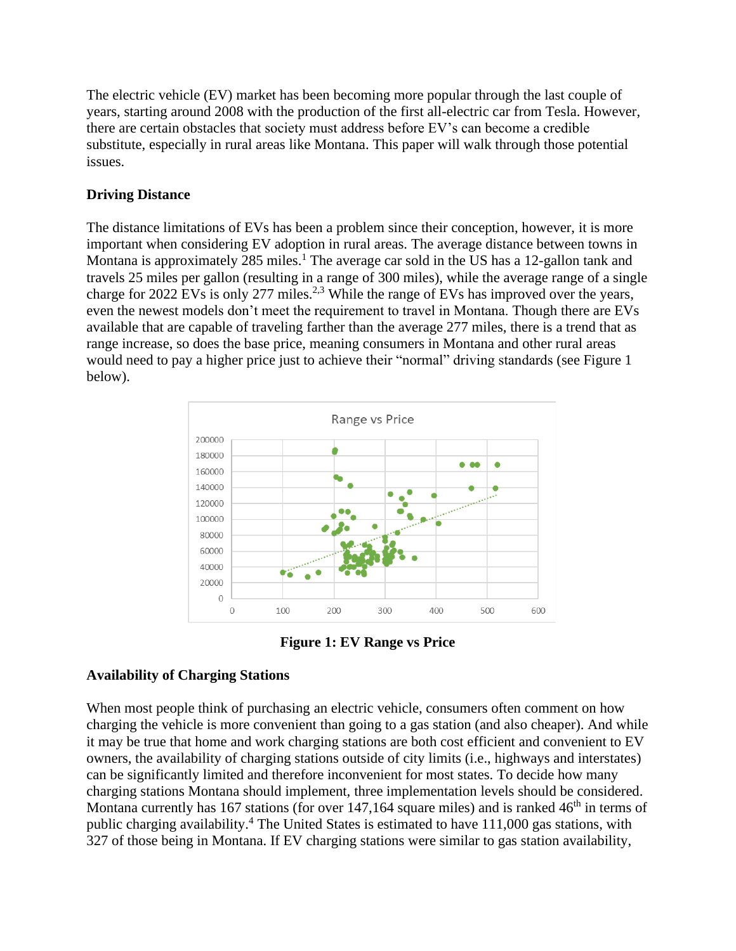The electric vehicle (EV) market has been becoming more popular through the last couple of years, starting around 2008 with the production of the first all-electric car from Tesla. However, there are certain obstacles that society must address before EV's can become a credible substitute, especially in rural areas like Montana. This paper will walk through those potential issues.

## **Driving Distance**

The distance limitations of EVs has been a problem since their conception, however, it is more important when considering EV adoption in rural areas. The average distance between towns in Montana is approximately 285 miles.<sup>1</sup> The average car sold in the US has a 12-gallon tank and travels 25 miles per gallon (resulting in a range of 300 miles), while the average range of a single charge for 2022 EVs is only 277 miles.<sup>2,3</sup> While the range of EVs has improved over the years, even the newest models don't meet the requirement to travel in Montana. Though there are EVs available that are capable of traveling farther than the average 277 miles, there is a trend that as range increase, so does the base price, meaning consumers in Montana and other rural areas would need to pay a higher price just to achieve their "normal" driving standards (see Figure 1 below).



**Figure 1: EV Range vs Price**

# **Availability of Charging Stations**

When most people think of purchasing an electric vehicle, consumers often comment on how charging the vehicle is more convenient than going to a gas station (and also cheaper). And while it may be true that home and work charging stations are both cost efficient and convenient to EV owners, the availability of charging stations outside of city limits (i.e., highways and interstates) can be significantly limited and therefore inconvenient for most states. To decide how many charging stations Montana should implement, three implementation levels should be considered. Montana currently has 167 stations (for over  $147,164$  square miles) and is ranked  $46<sup>th</sup>$  in terms of public charging availability.<sup>4</sup> The United States is estimated to have 111,000 gas stations, with 327 of those being in Montana. If EV charging stations were similar to gas station availability,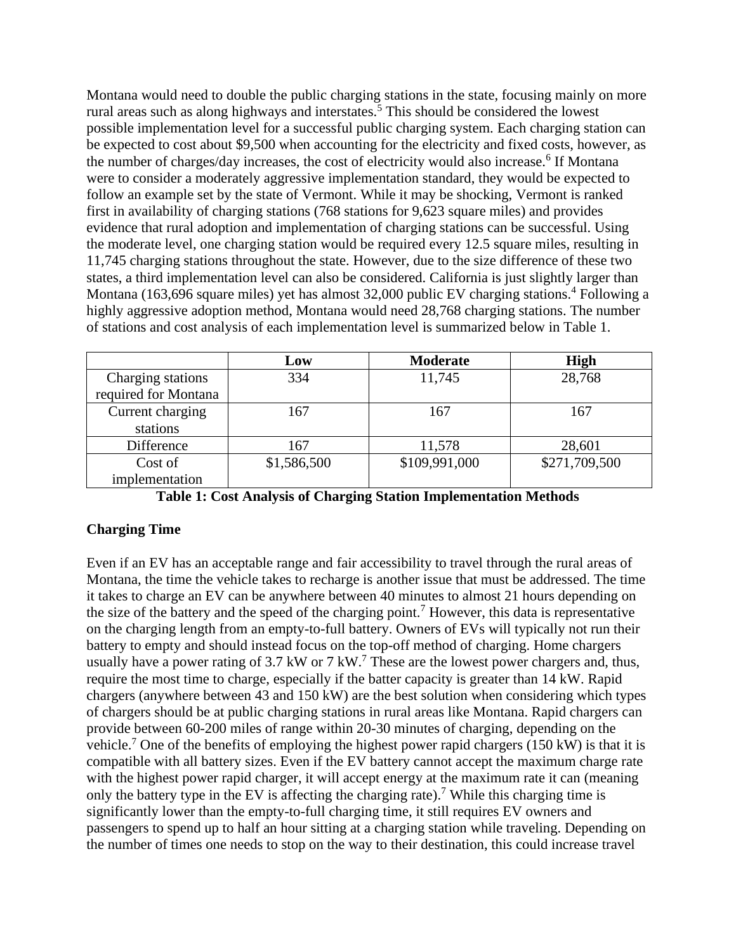Montana would need to double the public charging stations in the state, focusing mainly on more rural areas such as along highways and interstates.<sup>5</sup> This should be considered the lowest possible implementation level for a successful public charging system. Each charging station can be expected to cost about \$9,500 when accounting for the electricity and fixed costs, however, as the number of charges/day increases, the cost of electricity would also increase.<sup>6</sup> If Montana were to consider a moderately aggressive implementation standard, they would be expected to follow an example set by the state of Vermont. While it may be shocking, Vermont is ranked first in availability of charging stations (768 stations for 9,623 square miles) and provides evidence that rural adoption and implementation of charging stations can be successful. Using the moderate level, one charging station would be required every 12.5 square miles, resulting in 11,745 charging stations throughout the state. However, due to the size difference of these two states, a third implementation level can also be considered. California is just slightly larger than Montana (163,696 square miles) yet has almost 32,000 public EV charging stations.<sup>4</sup> Following a highly aggressive adoption method, Montana would need 28,768 charging stations. The number of stations and cost analysis of each implementation level is summarized below in Table 1.

|                      | Low         | <b>Moderate</b> | <b>High</b>   |  |
|----------------------|-------------|-----------------|---------------|--|
| Charging stations    | 334         | 11,745          | 28,768        |  |
| required for Montana |             |                 |               |  |
| Current charging     | 167         | 167             | 167           |  |
| stations             |             |                 |               |  |
| Difference           | 167         | 11,578          | 28,601        |  |
| Cost of              | \$1,586,500 | \$109,991,000   | \$271,709,500 |  |
| implementation       |             |                 |               |  |

|  |  | <b>Table 1: Cost Analysis of Charging Station Implementation Methods</b> |  |  |
|--|--|--------------------------------------------------------------------------|--|--|
|  |  |                                                                          |  |  |

### **Charging Time**

Even if an EV has an acceptable range and fair accessibility to travel through the rural areas of Montana, the time the vehicle takes to recharge is another issue that must be addressed. The time it takes to charge an EV can be anywhere between 40 minutes to almost 21 hours depending on the size of the battery and the speed of the charging point.<sup>7</sup> However, this data is representative on the charging length from an empty-to-full battery. Owners of EVs will typically not run their battery to empty and should instead focus on the top-off method of charging. Home chargers usually have a power rating of 3.7 kW or 7 kW.<sup>7</sup> These are the lowest power chargers and, thus, require the most time to charge, especially if the batter capacity is greater than 14 kW. Rapid chargers (anywhere between 43 and 150 kW) are the best solution when considering which types of chargers should be at public charging stations in rural areas like Montana. Rapid chargers can provide between 60-200 miles of range within 20-30 minutes of charging, depending on the vehicle.<sup>7</sup> One of the benefits of employing the highest power rapid chargers (150 kW) is that it is compatible with all battery sizes. Even if the EV battery cannot accept the maximum charge rate with the highest power rapid charger, it will accept energy at the maximum rate it can (meaning only the battery type in the EV is affecting the charging rate).<sup>7</sup> While this charging time is significantly lower than the empty-to-full charging time, it still requires EV owners and passengers to spend up to half an hour sitting at a charging station while traveling. Depending on the number of times one needs to stop on the way to their destination, this could increase travel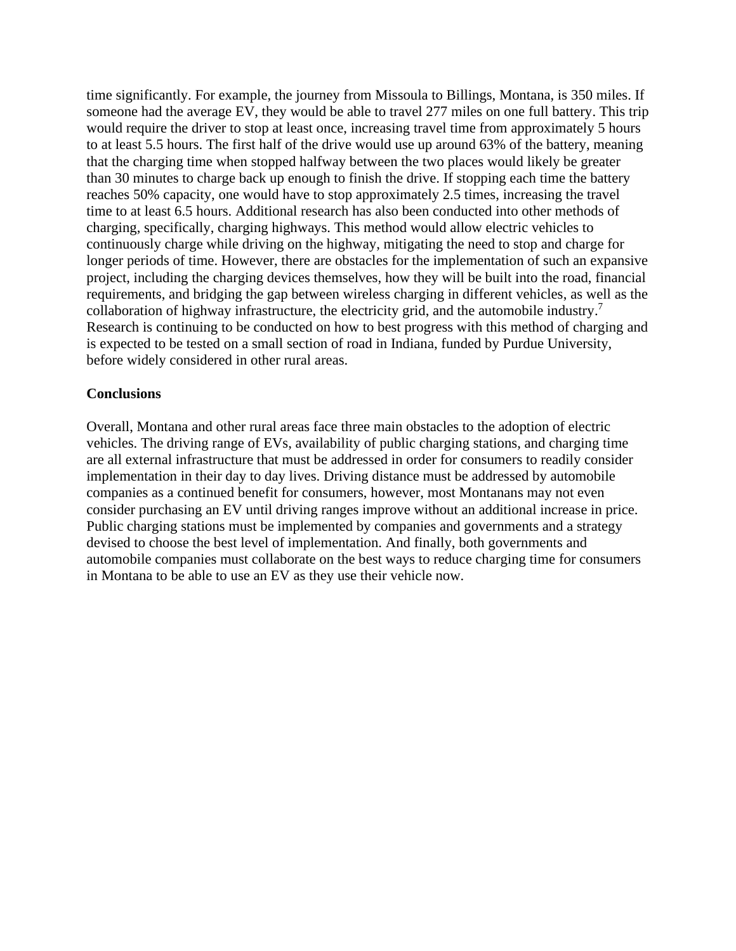time significantly. For example, the journey from Missoula to Billings, Montana, is 350 miles. If someone had the average EV, they would be able to travel 277 miles on one full battery. This trip would require the driver to stop at least once, increasing travel time from approximately 5 hours to at least 5.5 hours. The first half of the drive would use up around 63% of the battery, meaning that the charging time when stopped halfway between the two places would likely be greater than 30 minutes to charge back up enough to finish the drive. If stopping each time the battery reaches 50% capacity, one would have to stop approximately 2.5 times, increasing the travel time to at least 6.5 hours. Additional research has also been conducted into other methods of charging, specifically, charging highways. This method would allow electric vehicles to continuously charge while driving on the highway, mitigating the need to stop and charge for longer periods of time. However, there are obstacles for the implementation of such an expansive project, including the charging devices themselves, how they will be built into the road, financial requirements, and bridging the gap between wireless charging in different vehicles, as well as the collaboration of highway infrastructure, the electricity grid, and the automobile industry.<sup>7</sup> Research is continuing to be conducted on how to best progress with this method of charging and is expected to be tested on a small section of road in Indiana, funded by Purdue University, before widely considered in other rural areas.

### **Conclusions**

Overall, Montana and other rural areas face three main obstacles to the adoption of electric vehicles. The driving range of EVs, availability of public charging stations, and charging time are all external infrastructure that must be addressed in order for consumers to readily consider implementation in their day to day lives. Driving distance must be addressed by automobile companies as a continued benefit for consumers, however, most Montanans may not even consider purchasing an EV until driving ranges improve without an additional increase in price. Public charging stations must be implemented by companies and governments and a strategy devised to choose the best level of implementation. And finally, both governments and automobile companies must collaborate on the best ways to reduce charging time for consumers in Montana to be able to use an EV as they use their vehicle now.